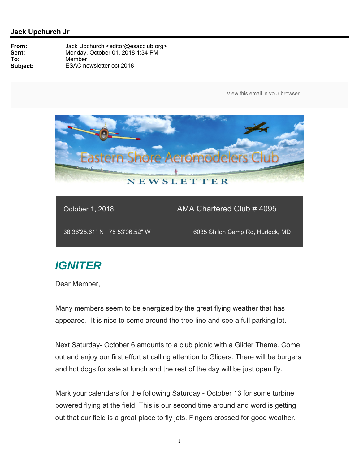

October 1, 2018 **AMA Chartered Club # 4095** 

38 36'25.61" N 75 53'06.52" W 6035 Shiloh Camp Rd, Hurlock, MD

## *IGNITER*

Dear Member,

Many members seem to be energized by the great flying weather that has appeared. It is nice to come around the tree line and see a full parking lot.

Next Saturday- October 6 amounts to a club picnic with a Glider Theme. Come out and enjoy our first effort at calling attention to Gliders. There will be burgers and hot dogs for sale at lunch and the rest of the day will be just open fly.

Mark your calendars for the following Saturday - October 13 for some turbine powered flying at the field. This is our second time around and word is getting out that our field is a great place to fly jets. Fingers crossed for good weather.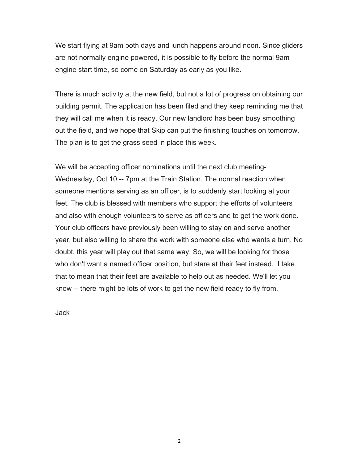We start flying at 9am both days and lunch happens around noon. Since gliders are not normally engine powered, it is possible to fly before the normal 9am engine start time, so come on Saturday as early as you like.

There is much activity at the new field, but not a lot of progress on obtaining our building permit. The application has been filed and they keep reminding me that they will call me when it is ready. Our new landlord has been busy smoothing out the field, and we hope that Skip can put the finishing touches on tomorrow. The plan is to get the grass seed in place this week.

We will be accepting officer nominations until the next club meeting-Wednesday, Oct 10 -- 7pm at the Train Station. The normal reaction when someone mentions serving as an officer, is to suddenly start looking at your feet. The club is blessed with members who support the efforts of volunteers and also with enough volunteers to serve as officers and to get the work done. Your club officers have previously been willing to stay on and serve another year, but also willing to share the work with someone else who wants a turn. No doubt, this year will play out that same way. So, we will be looking for those who don't want a named officer position, but stare at their feet instead. I take that to mean that their feet are available to help out as needed. We'll let you know -- there might be lots of work to get the new field ready to fly from.

Jack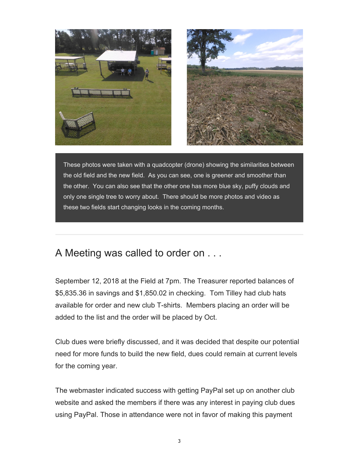



These photos were taken with a quadcopter (drone) showing the similarities between the old field and the new field. As you can see, one is greener and smoother than the other. You can also see that the other one has more blue sky, puffy clouds and only one single tree to worry about. There should be more photos and video as these two fields start changing looks in the coming months.

## A Meeting was called to order on . . .

September 12, 2018 at the Field at 7pm. The Treasurer reported balances of \$5,835.36 in savings and \$1,850.02 in checking. Tom Tilley had club hats available for order and new club T-shirts. Members placing an order will be added to the list and the order will be placed by Oct.

Club dues were briefly discussed, and it was decided that despite our potential need for more funds to build the new field, dues could remain at current levels for the coming year.

The webmaster indicated success with getting PayPal set up on another club website and asked the members if there was any interest in paying club dues using PayPal. Those in attendance were not in favor of making this payment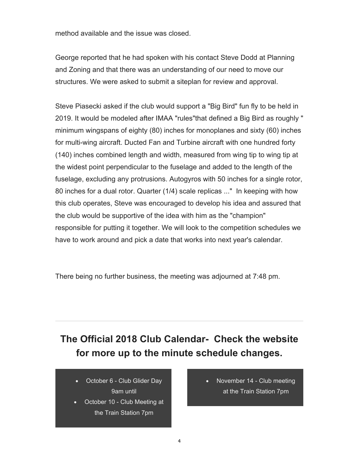method available and the issue was closed.

George reported that he had spoken with his contact Steve Dodd at Planning and Zoning and that there was an understanding of our need to move our structures. We were asked to submit a siteplan for review and approval.

Steve Piasecki asked if the club would support a "Big Bird" fun fly to be held in 2019. It would be modeled after IMAA "rules"that defined a Big Bird as roughly " minimum wingspans of eighty (80) inches for monoplanes and sixty (60) inches for multi-wing aircraft. Ducted Fan and Turbine aircraft with one hundred forty (140) inches combined length and width, measured from wing tip to wing tip at the widest point perpendicular to the fuselage and added to the length of the fuselage, excluding any protrusions. Autogyros with 50 inches for a single rotor, 80 inches for a dual rotor. Quarter (1/4) scale replicas ..." In keeping with how this club operates, Steve was encouraged to develop his idea and assured that the club would be supportive of the idea with him as the "champion" responsible for putting it together. We will look to the competition schedules we have to work around and pick a date that works into next year's calendar.

There being no further business, the meeting was adjourned at 7:48 pm.

## **The Official 2018 Club Calendar- Check the website for more up to the minute schedule changes.**

- October 6 Club Glider Day 9am until
- October 10 Club Meeting at the Train Station 7pm
- November 14 Club meeting at the Train Station 7pm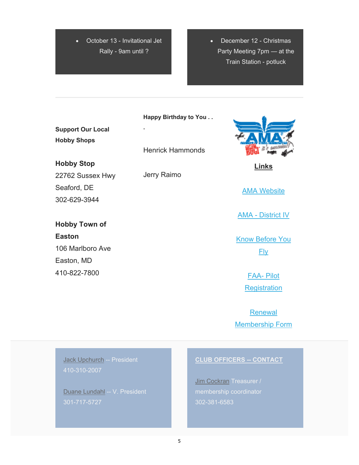October 13 - Invitational Jet Rally - 9am until ?

 December 12 - Christmas Party Meeting 7pm — at the Train Station - potluck

**Support Our Local Hobby Shops**

**Hobby Stop** 22762 Sussex Hwy Seaford, DE 302-629-3944

**Hobby Town of Easton** 106 Marlboro Ave Easton, MD 410-822-7800

**Happy Birthday to You . .** 

Henrick Hammonds

Jerry Raimo

**.**

**Links** 

AMA Website

AMA - District IV

Know Before You Fly

> FAA- Pilot **Registration**

Renewal Membership Form

Jack Upchurch -- President 410-310-2007

Duane Lundahl -- V. President 301-717-5727

## **CLUB OFFICERS -- CONTACT**

Jim Cockran Treasurer / 302-381-6583